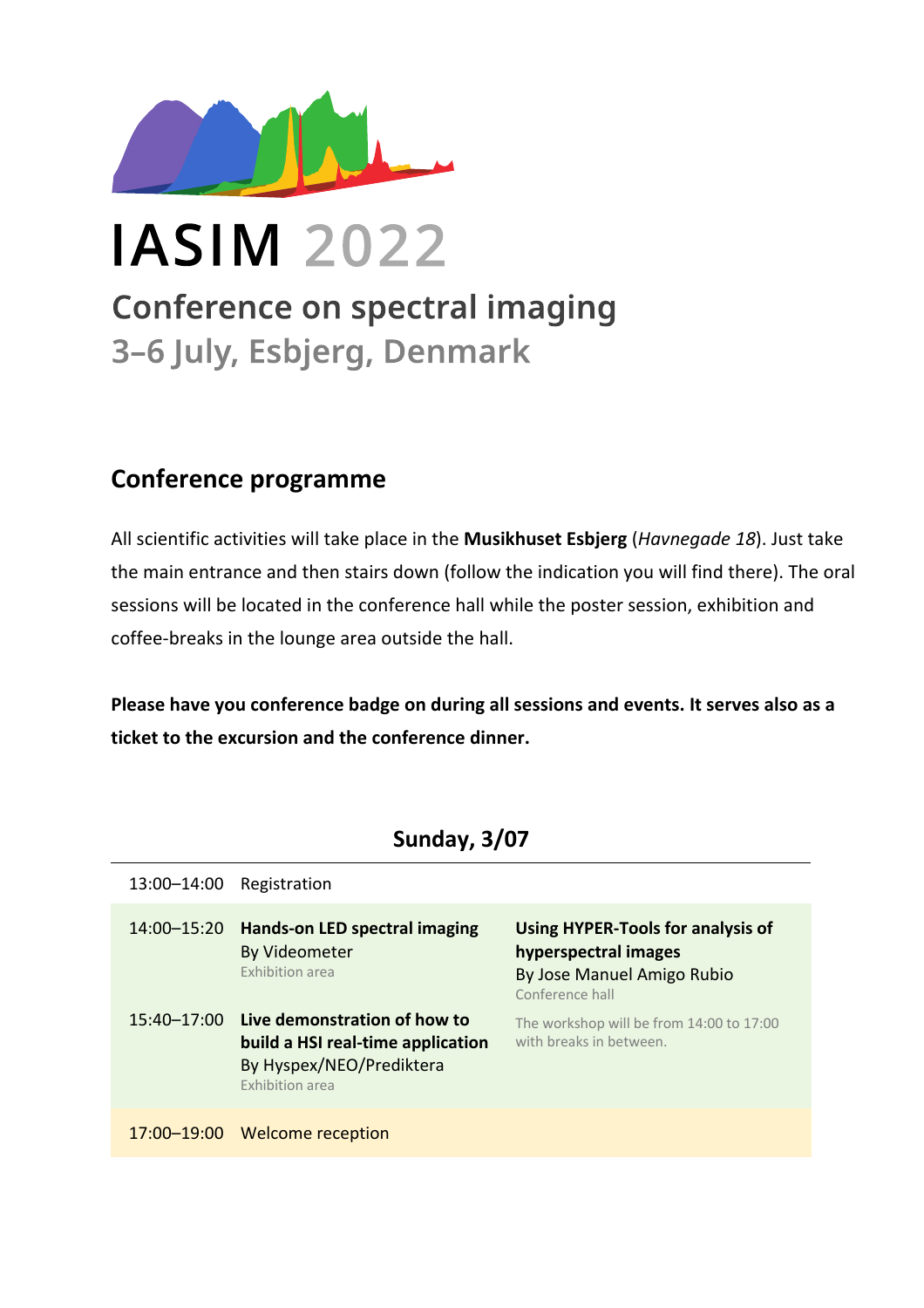

**IASIM 2022** 

**Conference on spectral imaging** 3-6 July, Esbjerg, Denmark

## **Conference programme**

All scientific activities will take place in the **Musikhuset Esbjerg** (*Havnegade 18*). Just take the main entrance and then stairs down (follow the indication you will find there). The oral sessions will be located in the conference hall while the poster session, exhibition and coffee-breaks in the lounge area outside the hall.

**Please have you conference badge on during all sessions and events. It serves also as a ticket to the excursion and the conference dinner.**

**Sunday, 3/07**

| 13:00-14:00 | Registration                                                                                                            |                                                                                                            |
|-------------|-------------------------------------------------------------------------------------------------------------------------|------------------------------------------------------------------------------------------------------------|
| 14:00-15:20 | <b>Hands-on LED spectral imaging</b><br><b>By Videometer</b><br><b>Exhibition area</b>                                  | Using HYPER-Tools for analysis of<br>hyperspectral images<br>By Jose Manuel Amigo Rubio<br>Conference hall |
| 15:40-17:00 | Live demonstration of how to<br>build a HSI real-time application<br>By Hyspex/NEO/Prediktera<br><b>Exhibition area</b> | The workshop will be from 14:00 to 17:00<br>with breaks in between.                                        |
| 17:00-19:00 | Welcome reception                                                                                                       |                                                                                                            |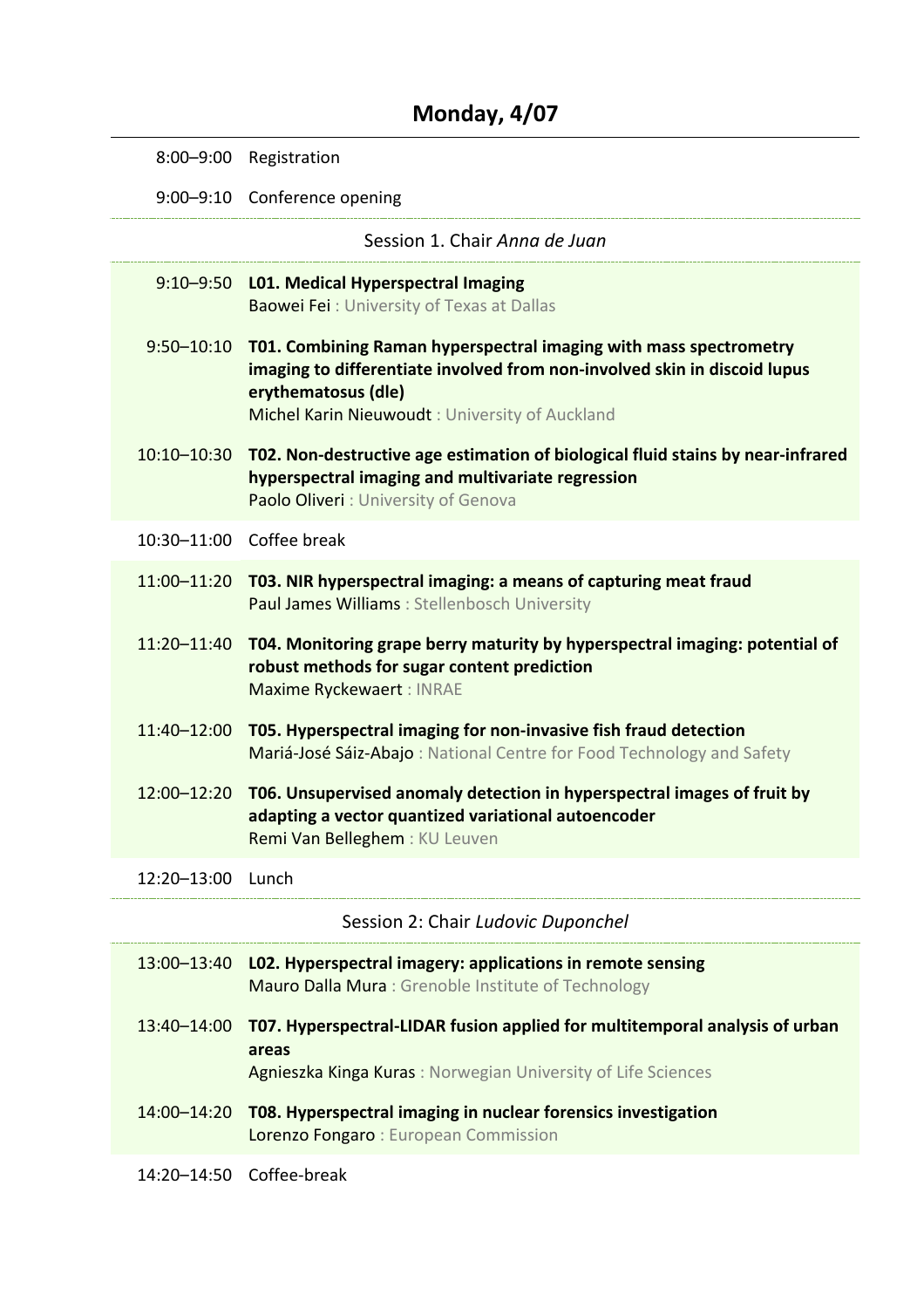## **Monday, 4/07**

| $8:00 - 9:00$                      | Registration                                                                                                                                                                                                            |
|------------------------------------|-------------------------------------------------------------------------------------------------------------------------------------------------------------------------------------------------------------------------|
|                                    | 9:00-9:10 Conference opening                                                                                                                                                                                            |
|                                    | Session 1. Chair Anna de Juan                                                                                                                                                                                           |
| $9:10 - 9:50$                      | <b>L01. Medical Hyperspectral Imaging</b><br><b>Baowei Fei: University of Texas at Dallas</b>                                                                                                                           |
| $9:50 - 10:10$                     | T01. Combining Raman hyperspectral imaging with mass spectrometry<br>imaging to differentiate involved from non-involved skin in discoid lupus<br>erythematosus (dle)<br>Michel Karin Nieuwoudt: University of Auckland |
| 10:10-10:30                        | T02. Non-destructive age estimation of biological fluid stains by near-infrared<br>hyperspectral imaging and multivariate regression<br>Paolo Oliveri: University of Genova                                             |
|                                    | 10:30-11:00 Coffee break                                                                                                                                                                                                |
| 11:00-11:20                        | T03. NIR hyperspectral imaging: a means of capturing meat fraud<br>Paul James Williams : Stellenbosch University                                                                                                        |
| 11:20-11:40                        | T04. Monitoring grape berry maturity by hyperspectral imaging: potential of<br>robust methods for sugar content prediction<br>Maxime Ryckewaert: INRAE                                                                  |
| 11:40-12:00                        | T05. Hyperspectral imaging for non-invasive fish fraud detection<br>Mariá-José Sáiz-Abajo: National Centre for Food Technology and Safety                                                                               |
| 12:00-12:20                        | T06. Unsupervised anomaly detection in hyperspectral images of fruit by<br>adapting a vector quantized variational autoencoder<br>Remi Van Belleghem: KU Leuven                                                         |
| 12:20-13:00                        | Lunch                                                                                                                                                                                                                   |
| Session 2: Chair Ludovic Duponchel |                                                                                                                                                                                                                         |
| 13:00-13:40                        | LO2. Hyperspectral imagery: applications in remote sensing<br>Mauro Dalla Mura: Grenoble Institute of Technology                                                                                                        |
| 13:40-14:00                        | T07. Hyperspectral-LIDAR fusion applied for multitemporal analysis of urban<br>areas<br>Agnieszka Kinga Kuras: Norwegian University of Life Sciences                                                                    |
| 14:00-14:20                        | T08. Hyperspectral imaging in nuclear forensics investigation                                                                                                                                                           |

Lorenzo Fongaro : European Commission

14:20–14:50 Coffee-break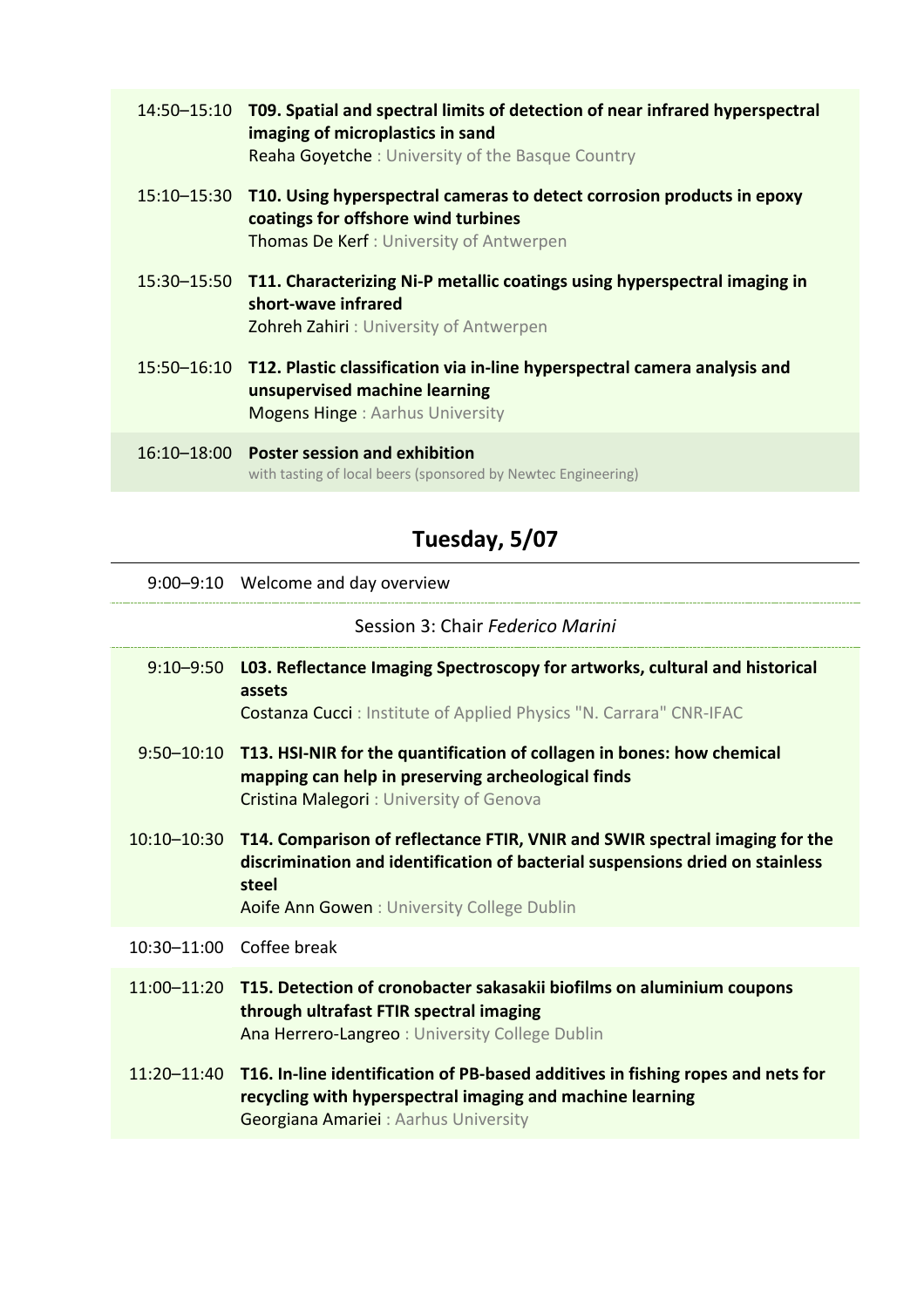| 14:50-15:10 T09. Spatial and spectral limits of detection of near infrared hyperspectral<br>imaging of microplastics in sand<br><b>Reaha Goyetche:</b> University of the Basque Country |
|-----------------------------------------------------------------------------------------------------------------------------------------------------------------------------------------|
| 15:10–15:30 T10. Using hyperspectral cameras to detect corrosion products in epoxy<br>coatings for offshore wind turbines<br><b>Thomas De Kerf: University of Antwerpen</b>             |
| 15:30-15:50 T11. Characterizing Ni-P metallic coatings using hyperspectral imaging in<br>short-wave infrared<br><b>Zohreh Zahiri: University of Antwerpen</b>                           |
| 15:50-16:10 T12. Plastic classification via in-line hyperspectral camera analysis and<br>unsupervised machine learning<br><b>Mogens Hinge: Aarhus University</b>                        |
| 16:10-18:00 Poster session and exhibition<br>with tasting of local beers (sponsored by Newtec Engineering)                                                                              |

# **Tuesday, 5/07**

9:00–9:10 Welcome and day overview

Session 3: Chair *Federico Marini*

|                          | 9:10-9:50 L03. Reflectance Imaging Spectroscopy for artworks, cultural and historical<br>assets<br><b>Costanza Cucci</b> : Institute of Applied Physics "N. Carrara" CNR-IFAC                                       |
|--------------------------|---------------------------------------------------------------------------------------------------------------------------------------------------------------------------------------------------------------------|
|                          | 9:50-10:10 T13. HSI-NIR for the quantification of collagen in bones: how chemical<br>mapping can help in preserving archeological finds<br><b>Cristina Malegori:</b> University of Genova                           |
| $10:10 - 10:30$          | T14. Comparison of reflectance FTIR, VNIR and SWIR spectral imaging for the<br>discrimination and identification of bacterial suspensions dried on stainless<br>steel<br>Aoife Ann Gowen: University College Dublin |
| 10:30-11:00 Coffee break |                                                                                                                                                                                                                     |
|                          | 11:00-11:20 T15. Detection of cronobacter sakasakii biofilms on aluminium coupons<br>through ultrafast FTIR spectral imaging<br>Ana Herrero-Langreo: University College Dublin                                      |
|                          | 11:20-11:40 T16. In-line identification of PB-based additives in fishing ropes and nets for<br>recycling with hyperspectral imaging and machine learning<br>Georgiana Amariei : Aarhus University                   |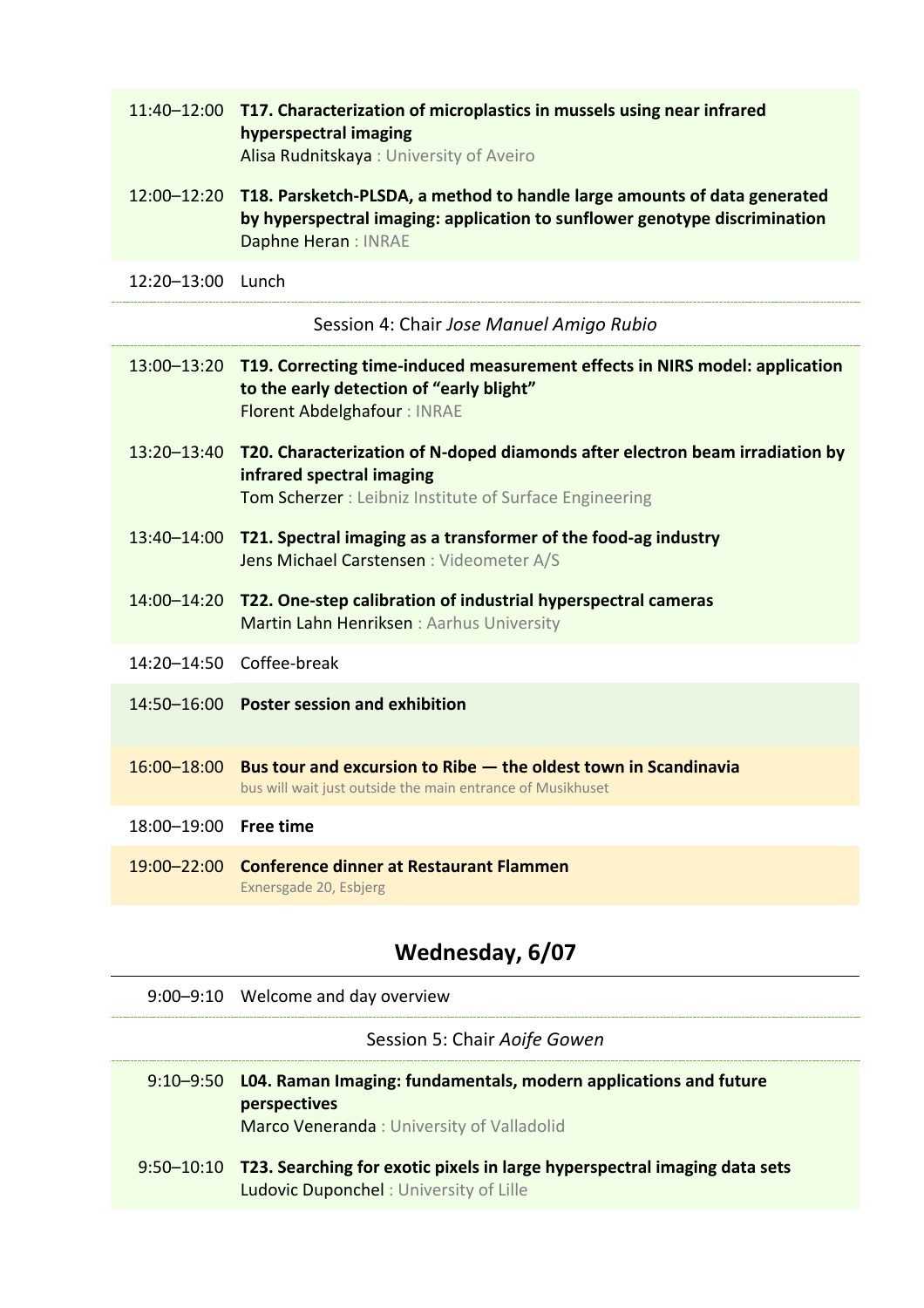| 11:40-12:00 T17. Characterization of microplastics in mussels using near infrared |  |
|-----------------------------------------------------------------------------------|--|
| hyperspectral imaging                                                             |  |
| Alisa Rudnitskaya: University of Aveiro                                           |  |
|                                                                                   |  |

- 12:00–12:20 **T18. Parsketch-PLSDA, a method to handle large amounts of data generated by hyperspectral imaging: application to sunflower genotype discrimination** Daphne Heran : INRAE
- 12:20–13:00 Lunch

Session 4: Chair *Jose Manuel Amigo Rubio*

|                       | 13:00-13:20 T19. Correcting time-induced measurement effects in NIRS model: application                                                                                                 |
|-----------------------|-----------------------------------------------------------------------------------------------------------------------------------------------------------------------------------------|
|                       | to the early detection of "early blight"<br><b>Florent Abdelghafour: INRAE</b>                                                                                                          |
|                       | 13:20-13:40 T20. Characterization of N-doped diamonds after electron beam irradiation by<br>infrared spectral imaging<br><b>Tom Scherzer</b> : Leibniz Institute of Surface Engineering |
|                       | 13:40-14:00 T21. Spectral imaging as a transformer of the food-ag industry<br>Jens Michael Carstensen : Videometer A/S                                                                  |
|                       | 14:00-14:20 T22. One-step calibration of industrial hyperspectral cameras<br>Martin Lahn Henriksen : Aarhus University                                                                  |
|                       | 14:20-14:50 Coffee-break                                                                                                                                                                |
|                       | 14:50-16:00 Poster session and exhibition                                                                                                                                               |
|                       | 16:00–18:00 Bus tour and excursion to Ribe — the oldest town in Scandinavia<br>bus will wait just outside the main entrance of Musikhuset                                               |
| 18:00-19:00 Free time |                                                                                                                                                                                         |
|                       | 19:00-22:00 Conference dinner at Restaurant Flammen                                                                                                                                     |

Exnersgade 20, Esbjerg

### **Wednesday, 6/07**

9:00–9:10 Welcome and day overview

#### Session 5: Chair *Aoife Gowen*

- 9:10–9:50 **L04. Raman Imaging: fundamentals, modern applications and future perspectives** Marco Veneranda : University of Valladolid
- 9:50–10:10 **T23. Searching for exotic pixels in large hyperspectral imaging data sets** Ludovic Duponchel : University of Lille